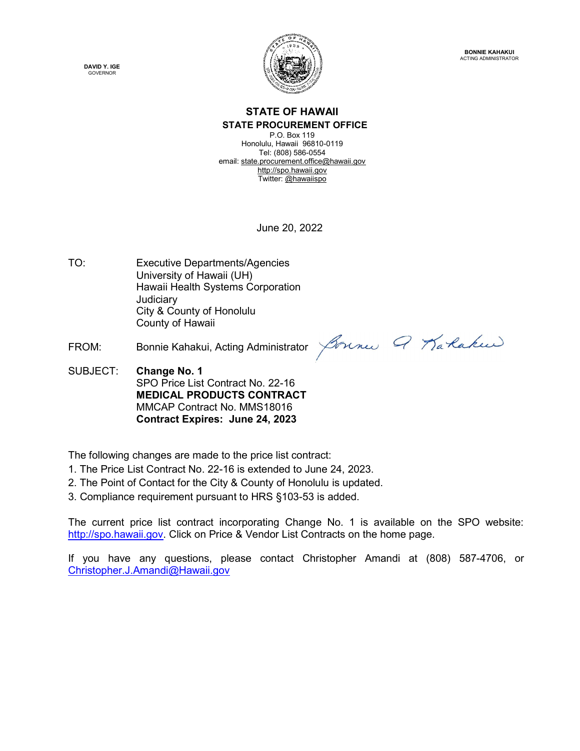



#### STATE OF HAWAII STATE PROCUREMENT OFFICE

P.O. Box 119 Honolulu, Hawaii 96810-0119 Tel: (808) 586-0554 email: state.procurement.office@hawaii.gov http://spo.hawaii.gov Twitter: @hawaiispo

June 20, 2022

- TO: Executive Departments/Agencies University of Hawaii (UH) Hawaii Health Systems Corporation Judiciary City & County of Honolulu County of Hawaii
- 

FROM: Bonnie Kahakui, Acting Administrator *Bonnes* 9 Ta *Raken* 

SUBJECT: Change No. 1 SPO Price List Contract No. 22-16 MEDICAL PRODUCTS CONTRACT MMCAP Contract No. MMS18016 Contract Expires: June 24, 2023

The following changes are made to the price list contract:

- 1. The Price List Contract No. 22-16 is extended to June 24, 2023.
- 2. The Point of Contact for the City & County of Honolulu is updated.
- 3. Compliance requirement pursuant to HRS §103-53 is added.

The current price list contract incorporating Change No. 1 is available on the SPO website: http://spo.hawaii.gov. Click on Price & Vendor List Contracts on the home page.

If you have any questions, please contact Christopher Amandi at (808) 587-4706, or Christopher.J.Amandi@Hawaii.gov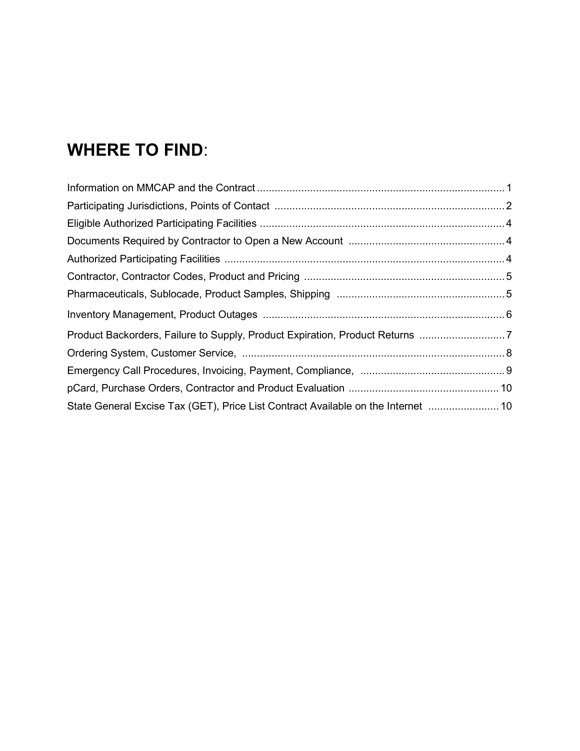# WHERE TO FIND:

| Product Backorders, Failure to Supply, Product Expiration, Product Returns 7     |  |
|----------------------------------------------------------------------------------|--|
|                                                                                  |  |
|                                                                                  |  |
|                                                                                  |  |
| State General Excise Tax (GET), Price List Contract Available on the Internet 10 |  |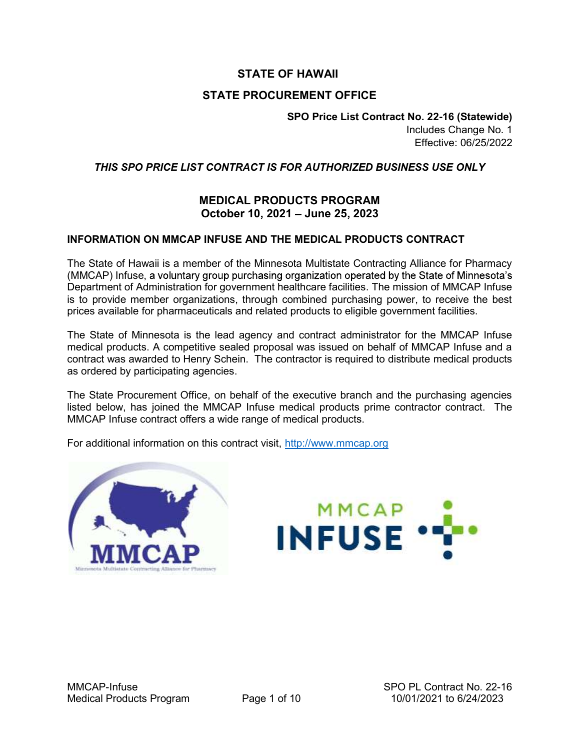## STATE OF HAWAII

#### STATE PROCUREMENT OFFICE

SPO Price List Contract No. 22-16 (Statewide) Includes Change No. 1 Effective: 06/25/2022

#### THIS SPO PRICE LIST CONTRACT IS FOR AUTHORIZED BUSINESS USE ONLY

#### MEDICAL PRODUCTS PROGRAM October 10, 2021 - June 25, 2023

#### INFORMATION ON MMCAP INFUSE AND THE MEDICAL PRODUCTS CONTRACT

The State of Hawaii is a member of the Minnesota Multistate Contracting Alliance for Pharmacy (MMCAP) Infuse, a voluntary group purchasing organization operated by the State of Minnesota's Department of Administration for government healthcare facilities. The mission of MMCAP Infuse is to provide member organizations, through combined purchasing power, to receive the best prices available for pharmaceuticals and related products to eligible government facilities.

The State of Minnesota is the lead agency and contract administrator for the MMCAP Infuse medical products. A competitive sealed proposal was issued on behalf of MMCAP Infuse and a contract was awarded to Henry Schein. The contractor is required to distribute medical products as ordered by participating agencies.

The State Procurement Office, on behalf of the executive branch and the purchasing agencies listed below, has joined the MMCAP Infuse medical products prime contractor contract. The MMCAP Infuse contract offers a wide range of medical products.

For additional information on this contract visit, http://www.mmcap.org



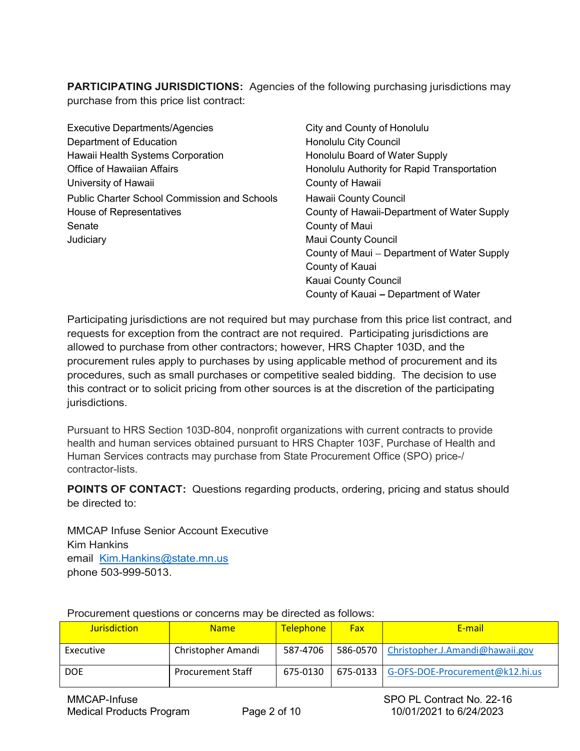**PARTICIPATING JURISDICTIONS:** Agencies of the following purchasing jurisdictions may purchase from this price list contract:

Executive Departments/Agencies City and County of Honolulu Department of Education **Exercise Education** Honolulu City Council Hawaii Health Systems Corporation **Honolulu Board of Water Supply** Office of Hawaiian Affairs **Honolulu Authority for Rapid Transportation** University of Hawaii **County of Hawaii** County of Hawaii Public Charter School Commission and Schools Hawaii County Council House of Representatives County of Hawaii-Department of Water Supply Senate County of Maui **Judiciary Maui County Council** 

County of Maui – Department of Water Supply County of Kauai Kauai County Council County of Kauai - Department of Water

Participating jurisdictions are not required but may purchase from this price list contract, and requests for exception from the contract are not required. Participating jurisdictions are allowed to purchase from other contractors; however, HRS Chapter 103D, and the procurement rules apply to purchases by using applicable method of procurement and its procedures, such as small purchases or competitive sealed bidding. The decision to use this contract or to solicit pricing from other sources is at the discretion of the participating jurisdictions.

Pursuant to HRS Section 103D-804, nonprofit organizations with current contracts to provide health and human services obtained pursuant to HRS Chapter 103F, Purchase of Health and Human Services contracts may purchase from State Procurement Office (SPO) price-/ contractor-lists.

POINTS OF CONTACT: Questions regarding products, ordering, pricing and status should be directed to:

MMCAP Infuse Senior Account Executive Kim Hankins email <u>Kim.Hankins@state.mn.us</u><br>phone 503-999-5013.

| <b>Jurisdiction</b> | <b>Name</b>              | <b>Telephone</b> | Fax | E-mail                                     |
|---------------------|--------------------------|------------------|-----|--------------------------------------------|
| Executive           | Christopher Amandi       | 587-4706         |     | 586-0570   Christopher.J.Amandi@hawaii.gov |
| <b>DOE</b>          | <b>Procurement Staff</b> | 675-0130         |     | 675-0133   G-OFS-DOE-Procurement@k12.hi.us |

Procurement questions or concerns may be directed as follows: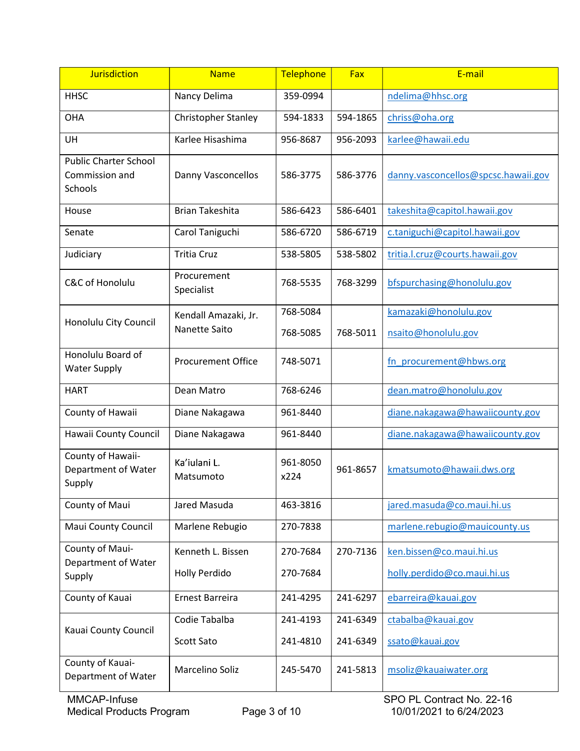| <b>Jurisdiction</b>                                       | <b>Name</b>                                  | Telephone            | Fax      | E-mail                                       |  |
|-----------------------------------------------------------|----------------------------------------------|----------------------|----------|----------------------------------------------|--|
| <b>HHSC</b>                                               | Nancy Delima                                 | 359-0994             |          | ndelima@hhsc.org                             |  |
| <b>OHA</b>                                                | Christopher Stanley                          | 594-1833             | 594-1865 | chriss@oha.org                               |  |
| UH                                                        | Karlee Hisashima                             | 956-8687             | 956-2093 | karlee@hawaii.edu                            |  |
| <b>Public Charter School</b><br>Commission and<br>Schools | Danny Vasconcellos                           | 586-3775             | 586-3776 | danny.vasconcellos@spcsc.hawaii.gov          |  |
| House                                                     | <b>Brian Takeshita</b>                       | 586-6423             | 586-6401 | takeshita@capitol.hawaii.gov                 |  |
| Senate                                                    | Carol Taniguchi                              | 586-6720             | 586-6719 | c.taniguchi@capitol.hawaii.gov               |  |
| Judiciary                                                 | <b>Tritia Cruz</b>                           | 538-5805             | 538-5802 | tritia.l.cruz@courts.hawaii.gov              |  |
| C&C of Honolulu                                           | Procurement<br>Specialist                    | 768-5535             | 768-3299 | bfspurchasing@honolulu.gov                   |  |
| Honolulu City Council                                     | Kendall Amazaki, Jr.<br><b>Nanette Saito</b> | 768-5084<br>768-5085 | 768-5011 | kamazaki@honolulu.gov<br>nsaito@honolulu.gov |  |
| Honolulu Board of<br><b>Water Supply</b>                  | <b>Procurement Office</b>                    | 748-5071             |          | fn procurement@hbws.org                      |  |
| <b>HART</b>                                               | Dean Matro                                   | 768-6246             |          | dean.matro@honolulu.gov                      |  |
| County of Hawaii                                          | Diane Nakagawa                               | 961-8440             |          | diane.nakagawa@hawaiicounty.gov              |  |
| Hawaii County Council                                     | Diane Nakagawa                               | 961-8440             |          | diane.nakagawa@hawaiicounty.gov              |  |
| County of Hawaii-<br>Department of Water<br>Supply        | Ka'iulani L.<br>Matsumoto                    | 961-8050<br>x224     | 961-8657 | kmatsumoto@hawaii.dws.org                    |  |
| County of Maui                                            | Jared Masuda                                 | 463-3816             |          | jared.masuda@co.maui.hi.us                   |  |
| Maui County Council                                       | Marlene Rebugio                              | 270-7838             |          | marlene.rebugio@mauicounty.us                |  |
| County of Maui-<br>Department of Water                    | Kenneth L. Bissen                            | 270-7684             | 270-7136 | ken.bissen@co.maui.hi.us                     |  |
| Supply                                                    | Holly Perdido                                | 270-7684             |          | holly.perdido@co.maui.hi.us                  |  |
| County of Kauai                                           | Ernest Barreira                              | 241-4295             | 241-6297 | ebarreira@kauai.gov                          |  |
| Kauai County Council                                      | Codie Tabalba                                | 241-4193             | 241-6349 | ctabalba@kauai.gov                           |  |
|                                                           | Scott Sato                                   | 241-4810             | 241-6349 | ssato@kauai.gov                              |  |
| County of Kauai-<br>Department of Water                   | Marcelino Soliz                              | 245-5470             | 241-5813 | msoliz@kauaiwater.org                        |  |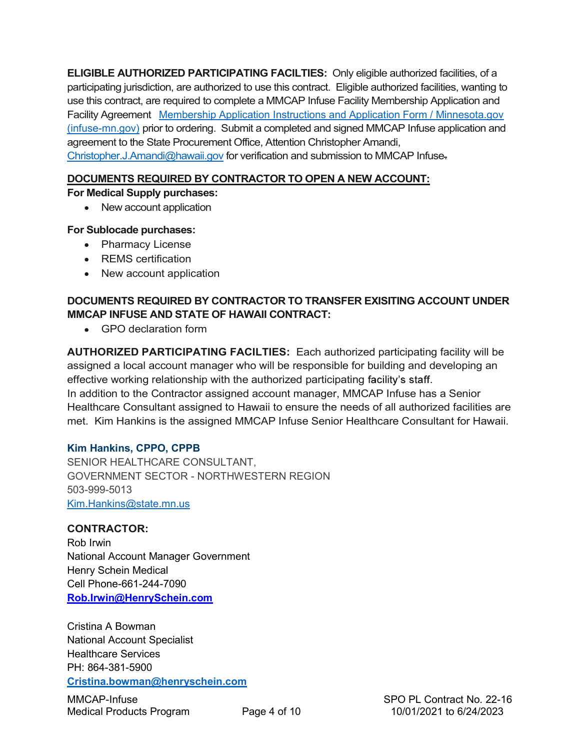ELIGIBLE AUTHORIZED PARTICIPATING FACILTIES: Only eligible authorized facilities, of a participating jurisdiction, are authorized to use this contract. Eligible authorized facilities, wanting to use this contract, are required to complete a MMCAP Infuse Facility Membership Application and Facility Agreement Membership Application Instructions and Application Form / Minnesota.gov (infuse-mn.gov) prior to ordering. Submit a completed and signed MMCAP Infuse application and agreement to the State Procurement Office, Attention Christopher Amandi, Christopher.J.Amandi@hawaii.gov for verification and submission to MMCAP Infuse.

### DOCUMENTS REQUIRED BY CONTRACTOR TO OPEN A NEW ACCOUNT:

#### For Medical Supply purchases:

• New account application

#### For Sublocade purchases:

- Pharmacy License
- REMS certification
- New account application

## DOCUMENTS REQUIRED BY CONTRACTOR TO TRANSFER EXISITING ACCOUNT UNDER MMCAP INFUSE AND STATE OF HAWAII CONTRACT:

GPO declaration form

AUTHORIZED PARTICIPATING FACILTIES: Each authorized participating facility will be assigned a local account manager who will be responsible for building and developing an effective working relationship with the authorized participating facility's staff. In addition to the Contractor assigned account manager, MMCAP Infuse has a Senior Healthcare Consultant assigned to Hawaii to ensure the needs of all authorized facilities are met. Kim Hankins is the assigned MMCAP Infuse Senior Healthcare Consultant for Hawaii.

#### Kim Hankins, CPPO, CPPB

SENIOR HEALTHCARE CONSULTANT, GOVERNMENT SECTOR - NORTHWESTERN REGION 503-999-5013 Kim.Hankins@state.mn.us

#### CONTRACTOR:

Rob Irwin National Account Manager Government Henry Schein Medical Cell Phone-661-244-7090 Rob.Irwin@HenrySchein.com

Cristina A Bowman National Account Specialist Healthcare Services PH: 864-381-5900 Cristina.bowman@henryschein.com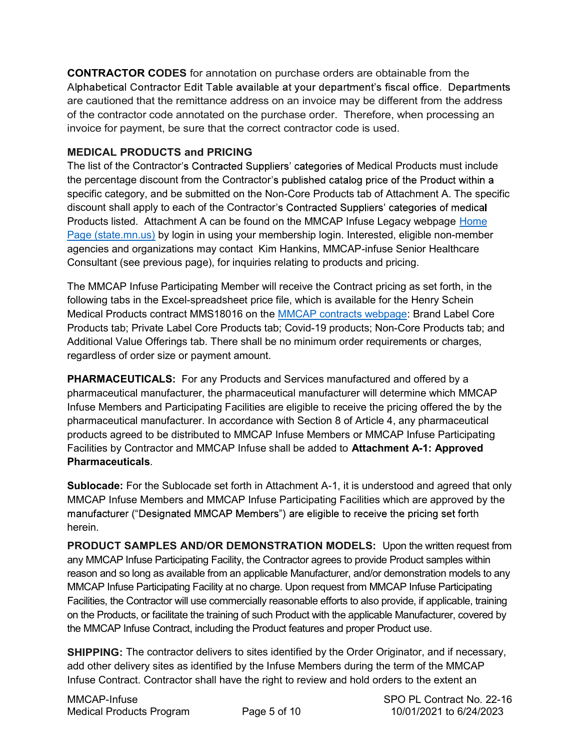CONTRACTOR CODES for annotation on purchase orders are obtainable from the Alphabetical Contractor Edit Table available at your department's fiscal office. Departments are cautioned that the remittance address on an invoice may be different from the address of the contractor code annotated on the purchase order. Therefore, when processing an invoice for payment, be sure that the correct contractor code is used.

## MEDICAL PRODUCTS and PRICING

The list of the Contractor's Contracted Suppliers' categories of Medical Products must include the percentage discount from the Contractor's published catalog price of the Product within a specific category, and be submitted on the Non-Core Products tab of Attachment A. The specific discount shall apply to each of the Contractor's Contracted Suppliers' categories of medical Products listed. Attachment A can be found on the MMCAP Infuse Legacy webpage Home Page (state.mn.us) by login in using your membership login. Interested, eligible non-member agencies and organizations may contact Kim Hankins, MMCAP-infuse Senior Healthcare Consultant (see previous page), for inquiries relating to products and pricing.

The MMCAP Infuse Participating Member will receive the Contract pricing as set forth, in the following tabs in the Excel-spreadsheet price file, which is available for the Henry Schein Medical Products contract MMS18016 on the MMCAP contracts webpage: Brand Label Core Products tab; Private Label Core Products tab; Covid-19 products; Non-Core Products tab; and Additional Value Offerings tab. There shall be no minimum order requirements or charges, regardless of order size or payment amount.

PHARMACEUTICALS: For any Products and Services manufactured and offered by a pharmaceutical manufacturer, the pharmaceutical manufacturer will determine which MMCAP Infuse Members and Participating Facilities are eligible to receive the pricing offered the by the pharmaceutical manufacturer. In accordance with Section 8 of Article 4, any pharmaceutical products agreed to be distributed to MMCAP Infuse Members or MMCAP Infuse Participating Facilities by Contractor and MMCAP Infuse shall be added to Attachment A-1: Approved Pharmaceuticals.

Sublocade: For the Sublocade set forth in Attachment A-1, it is understood and agreed that only MMCAP Infuse Members and MMCAP Infuse Participating Facilities which are approved by the manufacturer ("Designated MMCAP Members") are eligible to receive the pricing set forth herein.

PRODUCT SAMPLES AND/OR DEMONSTRATION MODELS: Upon the written request from any MMCAP Infuse Participating Facility, the Contractor agrees to provide Product samples within reason and so long as available from an applicable Manufacturer, and/or demonstration models to any MMCAP Infuse Participating Facility at no charge. Upon request from MMCAP Infuse Participating Facilities, the Contractor will use commercially reasonable efforts to also provide, if applicable, training on the Products, or facilitate the training of such Product with the applicable Manufacturer, covered by the MMCAP Infuse Contract, including the Product features and proper Product use.

SHIPPING: The contractor delivers to sites identified by the Order Originator, and if necessary, add other delivery sites as identified by the Infuse Members during the term of the MMCAP Infuse Contract. Contractor shall have the right to review and hold orders to the extent an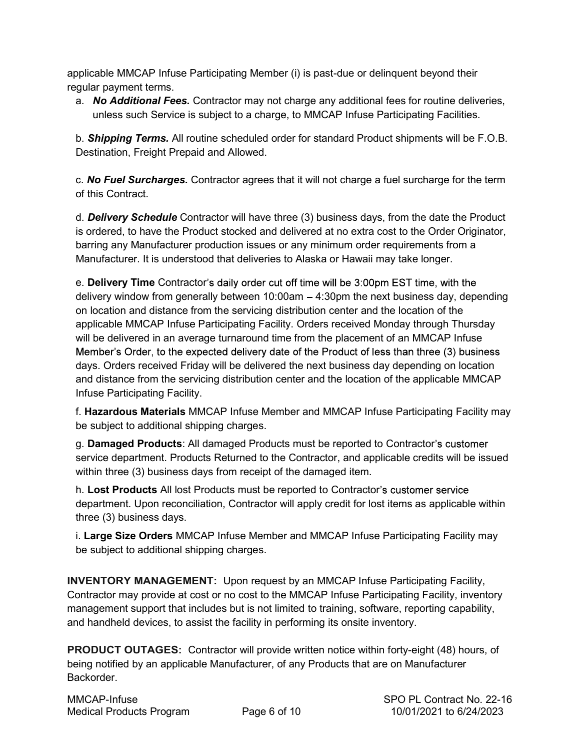applicable MMCAP Infuse Participating Member (i) is past-due or delinquent beyond their regular payment terms.

a. No Additional Fees. Contractor may not charge any additional fees for routine deliveries, unless such Service is subject to a charge, to MMCAP Infuse Participating Facilities.

b. **Shipping Terms.** All routine scheduled order for standard Product shipments will be F.O.B. Destination, Freight Prepaid and Allowed.

c. **No Fuel Surcharges.** Contractor agrees that it will not charge a fuel surcharge for the term of this Contract.

d. **Delivery Schedule** Contractor will have three (3) business days, from the date the Product is ordered, to have the Product stocked and delivered at no extra cost to the Order Originator, barring any Manufacturer production issues or any minimum order requirements from a Manufacturer. It is understood that deliveries to Alaska or Hawaii may take longer.

e. Delivery Time Contractor's daily order cut off time will be 3:00pm EST time, with the delivery window from generally between  $10:00$ am  $-4:30$ pm the next business day, depending on location and distance from the servicing distribution center and the location of the applicable MMCAP Infuse Participating Facility. Orders received Monday through Thursday will be delivered in an average turnaround time from the placement of an MMCAP Infuse Member's Order, to the expected delivery date of the Product of less than three (3) business days. Orders received Friday will be delivered the next business day depending on location and distance from the servicing distribution center and the location of the applicable MMCAP Infuse Participating Facility.

f. Hazardous Materials MMCAP Infuse Member and MMCAP Infuse Participating Facility may be subject to additional shipping charges.

g. **Damaged Products**: All damaged Products must be reported to Contractor's customer service department. Products Returned to the Contractor, and applicable credits will be issued within three (3) business days from receipt of the damaged item.

h. Lost Products All lost Products must be reported to Contractor's customer service department. Upon reconciliation, Contractor will apply credit for lost items as applicable within three (3) business days.

i. Large Size Orders MMCAP Infuse Member and MMCAP Infuse Participating Facility may be subject to additional shipping charges.

INVENTORY MANAGEMENT: Upon request by an MMCAP Infuse Participating Facility, Contractor may provide at cost or no cost to the MMCAP Infuse Participating Facility, inventory management support that includes but is not limited to training, software, reporting capability, and handheld devices, to assist the facility in performing its onsite inventory.

PRODUCT OUTAGES: Contractor will provide written notice within forty-eight (48) hours, of being notified by an applicable Manufacturer, of any Products that are on Manufacturer Backorder.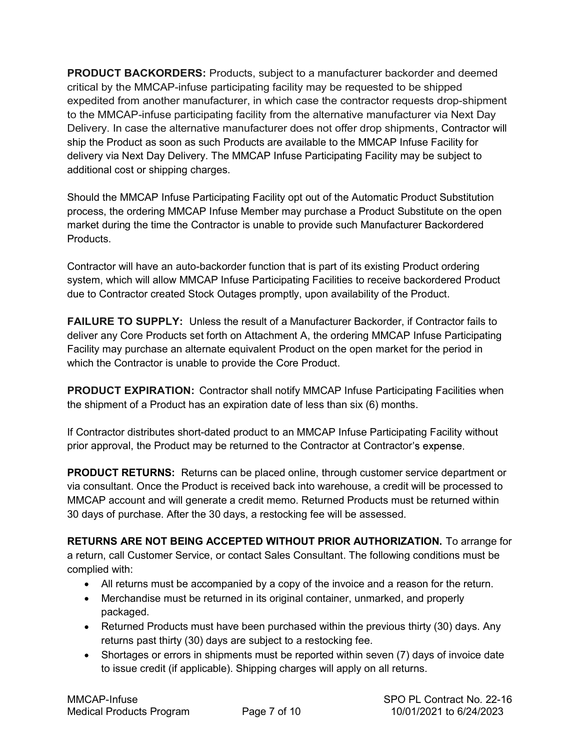PRODUCT BACKORDERS: Products, subject to a manufacturer backorder and deemed critical by the MMCAP-infuse participating facility may be requested to be shipped expedited from another manufacturer, in which case the contractor requests drop-shipment to the MMCAP-infuse participating facility from the alternative manufacturer via Next Day Delivery. In case the alternative manufacturer does not offer drop shipments, Contractor will ship the Product as soon as such Products are available to the MMCAP Infuse Facility for delivery via Next Day Delivery. The MMCAP Infuse Participating Facility may be subject to additional cost or shipping charges.

Should the MMCAP Infuse Participating Facility opt out of the Automatic Product Substitution process, the ordering MMCAP Infuse Member may purchase a Product Substitute on the open market during the time the Contractor is unable to provide such Manufacturer Backordered Products.

Contractor will have an auto-backorder function that is part of its existing Product ordering system, which will allow MMCAP Infuse Participating Facilities to receive backordered Product due to Contractor created Stock Outages promptly, upon availability of the Product.

FAILURE TO SUPPLY: Unless the result of a Manufacturer Backorder, if Contractor fails to deliver any Core Products set forth on Attachment A, the ordering MMCAP Infuse Participating Facility may purchase an alternate equivalent Product on the open market for the period in which the Contractor is unable to provide the Core Product.

PRODUCT EXPIRATION: Contractor shall notify MMCAP Infuse Participating Facilities when the shipment of a Product has an expiration date of less than six (6) months.

If Contractor distributes short-dated product to an MMCAP Infuse Participating Facility without prior approval, the Product may be returned to the Contractor at Contractor's expense.

PRODUCT RETURNS: Returns can be placed online, through customer service department or via consultant. Once the Product is received back into warehouse, a credit will be processed to MMCAP account and will generate a credit memo. Returned Products must be returned within 30 days of purchase. After the 30 days, a restocking fee will be assessed.

RETURNS ARE NOT BEING ACCEPTED WITHOUT PRIOR AUTHORIZATION. To arrange for a return, call Customer Service, or contact Sales Consultant. The following conditions must be complied with:

- All returns must be accompanied by a copy of the invoice and a reason for the return.
- Merchandise must be returned in its original container, unmarked, and properly packaged.
- Returned Products must have been purchased within the previous thirty (30) days. Any returns past thirty (30) days are subject to a restocking fee.
- Shortages or errors in shipments must be reported within seven (7) days of invoice date to issue credit (if applicable). Shipping charges will apply on all returns.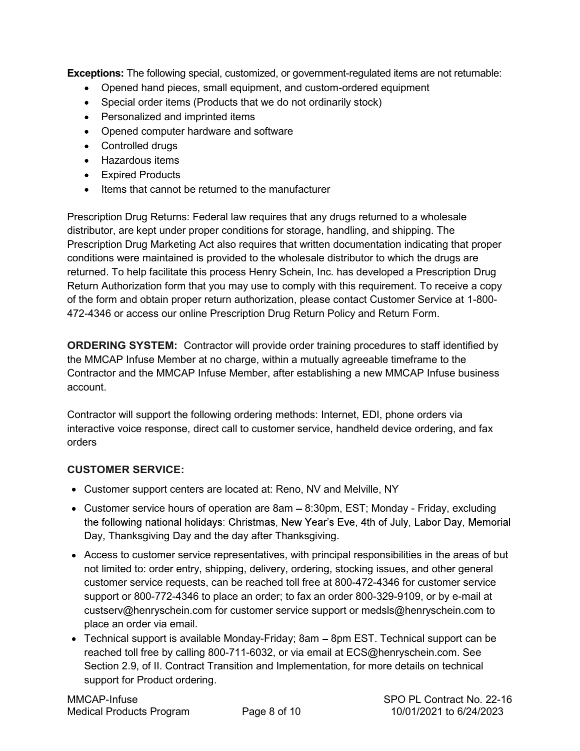Exceptions: The following special, customized, or government-regulated items are not returnable:

- Opened hand pieces, small equipment, and custom-ordered equipment
- Special order items (Products that we do not ordinarily stock)
- Personalized and imprinted items
- Opened computer hardware and software
- Controlled drugs
- Hazardous items
- Expired Products
- Items that cannot be returned to the manufacturer

Prescription Drug Returns: Federal law requires that any drugs returned to a wholesale distributor, are kept under proper conditions for storage, handling, and shipping. The Prescription Drug Marketing Act also requires that written documentation indicating that proper conditions were maintained is provided to the wholesale distributor to which the drugs are returned. To help facilitate this process Henry Schein, Inc. has developed a Prescription Drug Return Authorization form that you may use to comply with this requirement. To receive a copy of the form and obtain proper return authorization, please contact Customer Service at 1-800- 472-4346 or access our online Prescription Drug Return Policy and Return Form.

ORDERING SYSTEM: Contractor will provide order training procedures to staff identified by the MMCAP Infuse Member at no charge, within a mutually agreeable timeframe to the Contractor and the MMCAP Infuse Member, after establishing a new MMCAP Infuse business account.

Contractor will support the following ordering methods: Internet, EDI, phone orders via interactive voice response, direct call to customer service, handheld device ordering, and fax orders

## CUSTOMER SERVICE:

- Customer support centers are located at: Reno, NV and Melville, NY
- Customer service hours of operation are  $8am 8:30pm$ , EST; Monday Friday, excluding the following national holidays: Christmas, New Year's Eve, 4th of July, Labor Day, Memorial Day, Thanksgiving Day and the day after Thanksgiving.
- Access to customer service representatives, with principal responsibilities in the areas of but not limited to: order entry, shipping, delivery, ordering, stocking issues, and other general customer service requests, can be reached toll free at 800-472-4346 for customer service support or 800-772-4346 to place an order; to fax an order 800-329-9109, or by e-mail at custserv@henryschein.com for customer service support or medsls@henryschein.com to place an order via email.
- Technical support is available Monday-Friday;  $8am 8pm EST$ . Technical support can be reached toll free by calling 800-711-6032, or via email at ECS@henryschein.com. See Section 2.9, of II. Contract Transition and Implementation, for more details on technical support for Product ordering.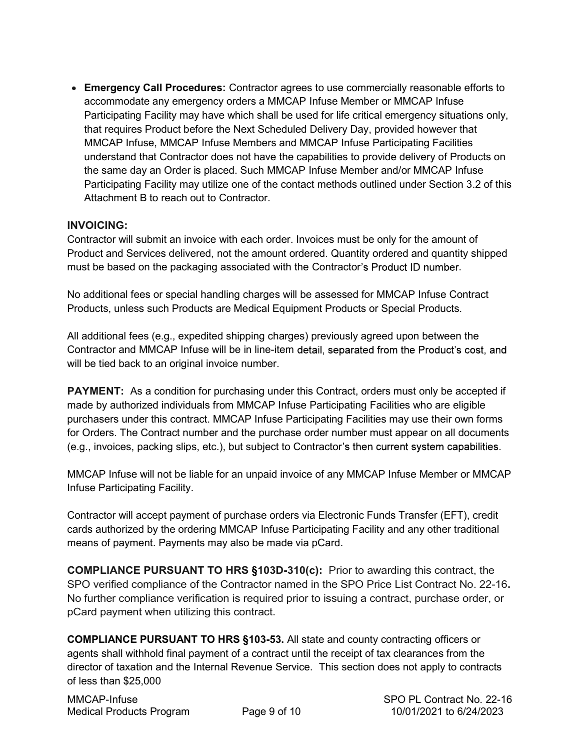Emergency Call Procedures: Contractor agrees to use commercially reasonable efforts to accommodate any emergency orders a MMCAP Infuse Member or MMCAP Infuse Participating Facility may have which shall be used for life critical emergency situations only, that requires Product before the Next Scheduled Delivery Day, provided however that MMCAP Infuse, MMCAP Infuse Members and MMCAP Infuse Participating Facilities understand that Contractor does not have the capabilities to provide delivery of Products on the same day an Order is placed. Such MMCAP Infuse Member and/or MMCAP Infuse Participating Facility may utilize one of the contact methods outlined under Section 3.2 of this Attachment B to reach out to Contractor.

#### INVOICING:

Contractor will submit an invoice with each order. Invoices must be only for the amount of Product and Services delivered, not the amount ordered. Quantity ordered and quantity shipped must be based on the packaging associated with the Contractor's Product ID number.

No additional fees or special handling charges will be assessed for MMCAP Infuse Contract Products, unless such Products are Medical Equipment Products or Special Products.

All additional fees (e.g., expedited shipping charges) previously agreed upon between the Contractor and MMCAP Infuse will be in line-item detail, separated from the Product's cost, and will be tied back to an original invoice number.

PAYMENT: As a condition for purchasing under this Contract, orders must only be accepted if made by authorized individuals from MMCAP Infuse Participating Facilities who are eligible purchasers under this contract. MMCAP Infuse Participating Facilities may use their own forms for Orders. The Contract number and the purchase order number must appear on all documents (e.g., invoices, packing slips, etc.), but subject to Contractor

MMCAP Infuse will not be liable for an unpaid invoice of any MMCAP Infuse Member or MMCAP Infuse Participating Facility.

Contractor will accept payment of purchase orders via Electronic Funds Transfer (EFT), credit cards authorized by the ordering MMCAP Infuse Participating Facility and any other traditional means of payment. Payments may also be made via pCard.

COMPLIANCE PURSUANT TO HRS §103D-310(c): Prior to awarding this contract, the SPO verified compliance of the Contractor named in the SPO Price List Contract No. 22-16. No further compliance verification is required prior to issuing a contract, purchase order, or pCard payment when utilizing this contract.

COMPLIANCE PURSUANT TO HRS §103-53. All state and county contracting officers or agents shall withhold final payment of a contract until the receipt of tax clearances from the director of taxation and the Internal Revenue Service. This section does not apply to contracts of less than \$25,000